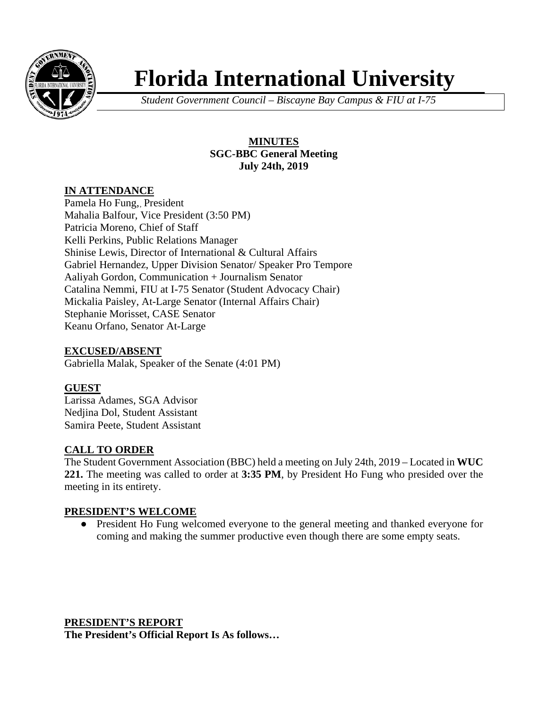

# **Florida International University**

*Student Government Council – Biscayne Bay Campus & FIU at I-75*

### **MINUTES SGC-BBC General Meeting July 24th, 2019**

## **IN ATTENDANCE**

Pamela Ho Fung,, President Mahalia Balfour, Vice President (3:50 PM) Patricia Moreno, Chief of Staff Kelli Perkins, Public Relations Manager Shinise Lewis, Director of International & Cultural Affairs Gabriel Hernandez, Upper Division Senator/ Speaker Pro Tempore Aaliyah Gordon, Communication + Journalism Senator Catalina Nemmi, FIU at I-75 Senator (Student Advocacy Chair) Mickalia Paisley, At-Large Senator (Internal Affairs Chair) Stephanie Morisset, CASE Senator Keanu Orfano, Senator At-Large

## **EXCUSED/ABSENT**

Gabriella Malak, Speaker of the Senate (4:01 PM)

#### **GUEST**

Larissa Adames, SGA Advisor Nedjina Dol, Student Assistant Samira Peete, Student Assistant

#### **CALL TO ORDER**

The Student Government Association (BBC) held a meeting on July 24th, 2019 – Located in **WUC 221.** The meeting was called to order at **3:35 PM**, by President Ho Fung who presided over the meeting in its entirety.

#### **PRESIDENT'S WELCOME**

● President Ho Fung welcomed everyone to the general meeting and thanked everyone for coming and making the summer productive even though there are some empty seats.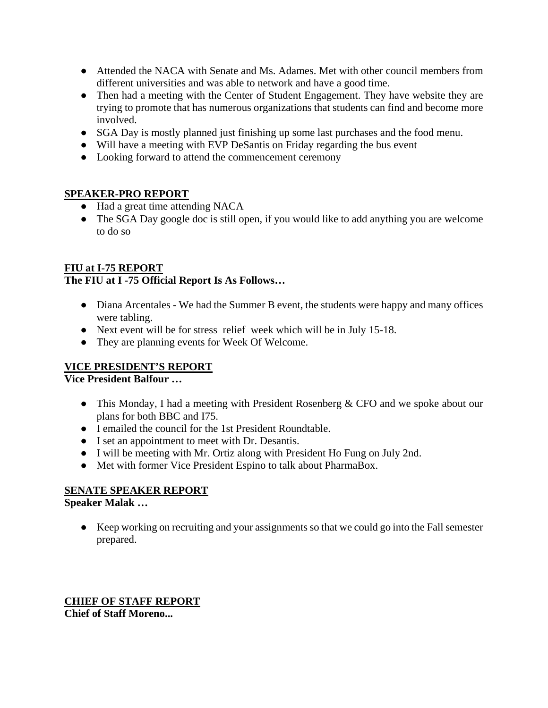- Attended the NACA with Senate and Ms. Adames. Met with other council members from different universities and was able to network and have a good time.
- Then had a meeting with the Center of Student Engagement. They have website they are trying to promote that has numerous organizations that students can find and become more involved.
- SGA Day is mostly planned just finishing up some last purchases and the food menu.
- Will have a meeting with EVP DeSantis on Friday regarding the bus event
- Looking forward to attend the commencement ceremony

## **SPEAKER-PRO REPORT**

- Had a great time attending NACA
- The SGA Day google doc is still open, if you would like to add anything you are welcome to do so

## **FIU at I-75 REPORT**

## **The FIU at I -75 Official Report Is As Follows…**

- Diana Arcentales We had the Summer B event, the students were happy and many offices were tabling.
- Next event will be for stress relief week which will be in July 15-18.
- They are planning events for Week Of Welcome.

# **VICE PRESIDENT'S REPORT**

**Vice President Balfour …** 

- This Monday, I had a meeting with President Rosenberg & CFO and we spoke about our plans for both BBC and I75.
- I emailed the council for the 1st President Roundtable.
- I set an appointment to meet with Dr. Desantis.
- I will be meeting with Mr. Ortiz along with President Ho Fung on July 2nd.
- Met with former Vice President Espino to talk about PharmaBox.

# **SENATE SPEAKER REPORT**

**Speaker Malak …** 

● Keep working on recruiting and your assignments so that we could go into the Fall semester prepared.

**CHIEF OF STAFF REPORT Chief of Staff Moreno...**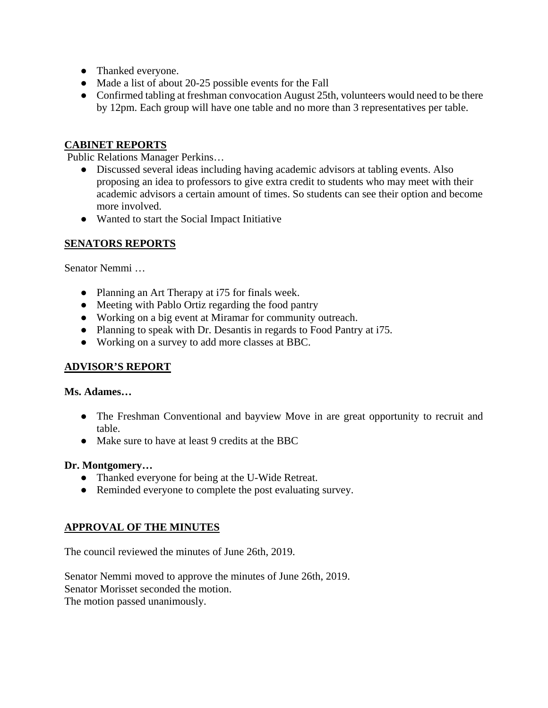- Thanked everyone.
- Made a list of about 20-25 possible events for the Fall
- Confirmed tabling at freshman convocation August 25th, volunteers would need to be there by 12pm. Each group will have one table and no more than 3 representatives per table.

### **CABINET REPORTS**

Public Relations Manager Perkins…

- Discussed several ideas including having academic advisors at tabling events. Also proposing an idea to professors to give extra credit to students who may meet with their academic advisors a certain amount of times. So students can see their option and become more involved.
- Wanted to start the Social Impact Initiative

#### **SENATORS REPORTS**

Senator Nemmi …

- Planning an Art Therapy at i75 for finals week.
- Meeting with Pablo Ortiz regarding the food pantry
- Working on a big event at Miramar for community outreach.
- Planning to speak with Dr. Desantis in regards to Food Pantry at i75.
- Working on a survey to add more classes at BBC.

#### **ADVISOR'S REPORT**

#### **Ms. Adames…**

- The Freshman Conventional and bayview Move in are great opportunity to recruit and table.
- Make sure to have at least 9 credits at the BBC

#### **Dr. Montgomery…**

- Thanked everyone for being at the U-Wide Retreat.
- Reminded everyone to complete the post evaluating survey.

#### **APPROVAL OF THE MINUTES**

The council reviewed the minutes of June 26th, 2019.

Senator Nemmi moved to approve the minutes of June 26th, 2019. Senator Morisset seconded the motion. The motion passed unanimously.